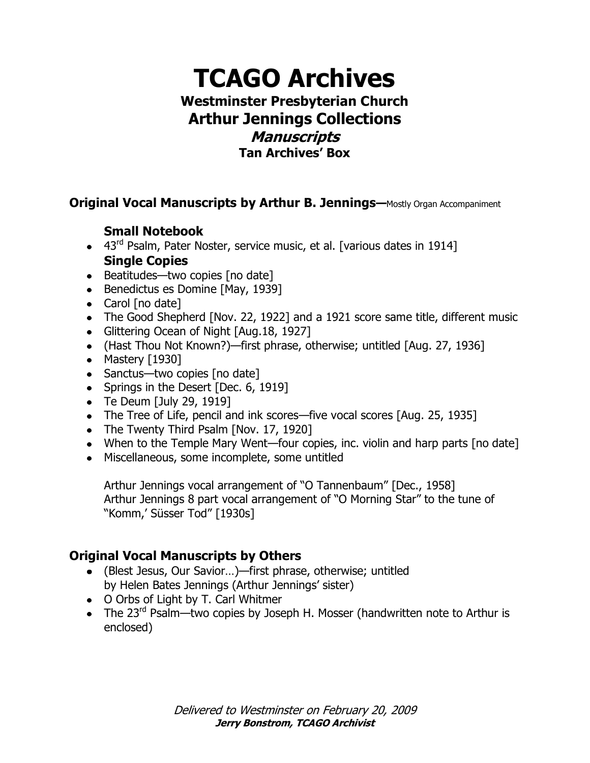# **TCAGO Archives Westminster Presbyterian Church Arthur Jennings Collections Manuscripts Tan Archives' Box**

**Original Vocal Manuscripts by Arthur B. Jennings—**Mostly Organ Accompaniment

## **Small Notebook**

- 43<sup>rd</sup> Psalm, Pater Noster, service music, et al. [various dates in 1914] **Single Copies**
- $\bullet$  Beatitudes—two copies [no date]
- Benedictus es Domine [May, 1939]
- Carol [no date]
- The Good Shepherd [Nov. 22, 1922] and a 1921 score same title, different music
- Glittering Ocean of Night [Aug.18, 1927]
- (Hast Thou Not Known?)—first phrase, otherwise; untitled [Aug. 27, 1936]
- Mastery  $[1930]$
- Sanctus—two copies [no date]
- Springs in the Desert [Dec. 6, 1919]
- $\bullet$  Te Deum [July 29, 1919]
- The Tree of Life, pencil and ink scores—five vocal scores [Aug. 25, 1935]
- The Twenty Third Psalm [Nov. 17, 1920]
- When to the Temple Mary Went—four copies, inc. violin and harp parts [no date]
- Miscellaneous, some incomplete, some untitled

Arthur Jennings vocal arrangement of "O Tannenbaum" [Dec., 1958] Arthur Jennings 8 part vocal arrangement of "O Morning Star" to the tune of "Komm,' Süsser Tod" [1930s]

### **Original Vocal Manuscripts by Others**

- (Blest Jesus, Our Savior…)—first phrase, otherwise; untitled by Helen Bates Jennings (Arthur Jennings' sister)
- O Orbs of Light by T. Carl Whitmer
- The 23<sup>rd</sup> Psalm—two copies by Joseph H. Mosser (handwritten note to Arthur is enclosed)